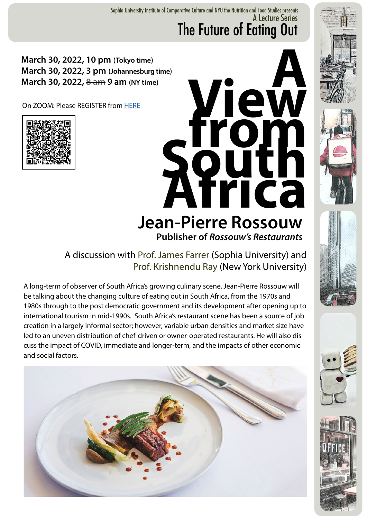A Lecture Series The Future of Eating Out Sophia University Institute of Comparative Culture and NYU the Nutrition and Food Studies presents

## **March 30, 2022, 10 pm (Tokyo time) March 30, 2022, 3 pm (Johannesburg time) March 30, 2022, 8 am 9 am (NY time)**

On ZOOM: Please REGISTER from [HERE](https://forms.office.com/pages/responsepage.aspx?id=p-YOaaVN3E-jFrtZnYKl0pSDtnsMuJVAtzRnSitkskJURUE1SkJLTVlMMFpIMENONFJCRVhBSDIwTi4u&web=1&wdLOR=c88103FAA-F18A-044C-B5E9-BE3E303AC05C)











A discussion with Prof. James Farrer (Sophia University) and Prof. Krishnendu Ray (New York University)

A long-term of observer of South Africa's growing culinary scene, Jean-Pierre Rossouw will be talking about the changing culture of eating out in South Africa, from the 1970s and 1980s through to the post democratic government and its development after opening up to international tourism in mid-1990s. South Africa's restaurant scene has been a source of job creation in a largely informal sector; however, variable urban densities and market size have led to an uneven distribution of chef-driven or owner-operated restaurants. He will also discuss the impact of COVID, immediate and longer-term, and the impacts of other economic and social factors.